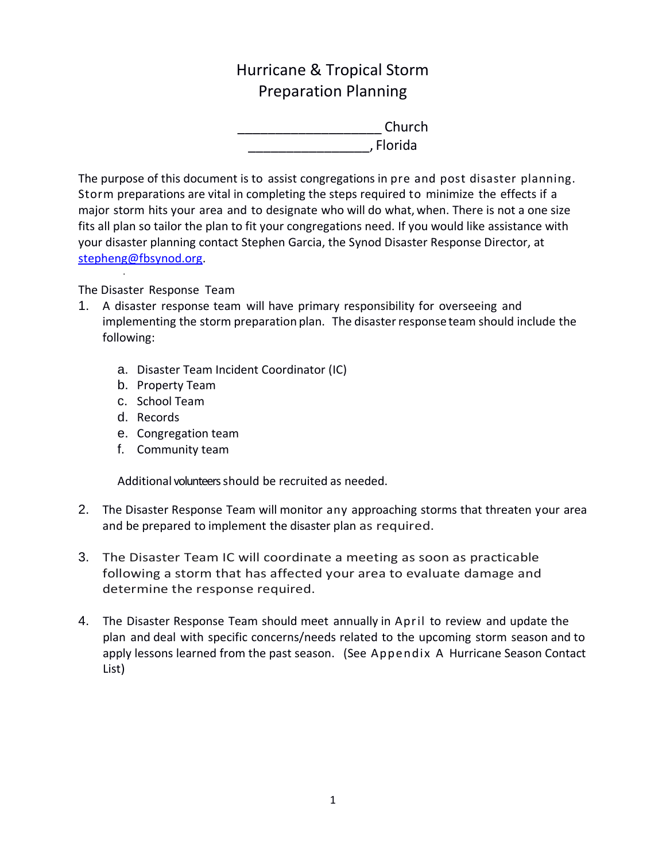# Hurricane & Tropical Storm Preparation Planning

\_\_\_\_\_\_\_\_\_\_\_\_\_\_\_\_\_\_\_ Church \_\_\_\_\_\_\_\_\_\_\_\_\_\_\_\_, Florida

The purpose of this document is to assist congregations in pre and post disaster planning. Storm preparations are vital in completing the steps required to minimize the effects if a major storm hits your area and to designate who will do what, when. There is not a one size fits all plan so tailor the plan to fit your congregations need. If you would like assistance with your disaster planning contact Stephen Garcia, the Synod Disaster Response Director, at [stepheng@fbsynod.org.](mailto:stepheng@fbsynod.org)

The Disaster Response Team

·

- 1. A disaster response team will have primary responsibility for overseeing and implementing the storm preparation plan. The disaster response team should include the following:
	- a. Disaster Team Incident Coordinator (IC)
	- b. Property Team
	- c. School Team
	- d. Records
	- e. Congregation team
	- f. Community team

Additional volunteers should be recruited as needed.

- 2. The Disaster Response Team will monitor any approaching storms that threaten your area and be prepared to implement the disaster plan as required.
- 3. The Disaster Team IC will coordinate a meeting as soon as practicable following a storm that has affected your area to evaluate damage and determine the response required.
- 4. The Disaster Response Team should meet annually in April to review and update the plan and deal with specific concerns/needs related to the upcoming storm season and to apply lessons learned from the past season. (See Appendix A Hurricane Season Contact List)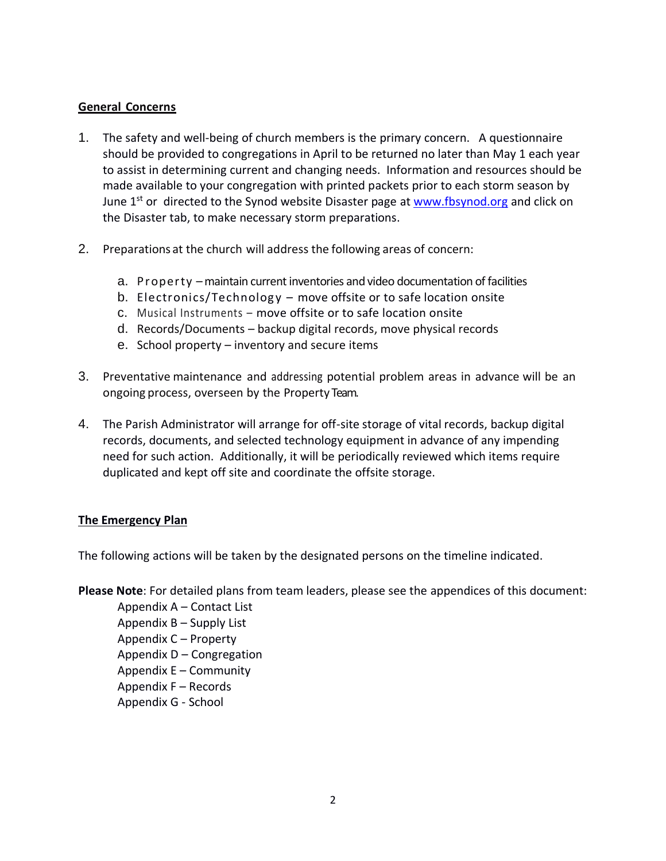## **General Concerns**

- 1. The safety and well-being of church members is the primary concern. A questionnaire should be provided to congregations in April to be returned no later than May 1 each year to assist in determining current and changing needs. Information and resources should be made available to your congregation with printed packets prior to each storm season by June  $1<sup>st</sup>$  or directed to the Synod website Disaster page at [www.fbsynod.org](http://www.fbsynod.org/) and click on the Disaster tab, to make necessary storm preparations.
- 2. Preparations at the church will address the following areas of concern:
	- a. Property –maintain current inventories and video documentation of facilities
	- b. Electronics/Technology move offsite or to safe location onsite
	- c. Musical Instruments move offsite or to safe location onsite
	- d. Records/Documents backup digital records, move physical records
	- e. School property inventory and secure items
- 3. Preventative maintenance and addressing potential problem areas in advance will be an ongoing process, overseen by the Property Team.
- 4. The Parish Administrator will arrange for off-site storage of vital records, backup digital records, documents, and selected technology equipment in advance of any impending need for such action. Additionally, it will be periodically reviewed which items require duplicated and kept off site and coordinate the offsite storage.

### **The Emergency Plan**

The following actions will be taken by the designated persons on the timeline indicated.

**Please Note**: For detailed plans from team leaders, please see the appendices of this document:

Appendix A – Contact List Appendix B – Supply List Appendix C – Property Appendix D – Congregation Appendix E – Community Appendix F – Records Appendix G - School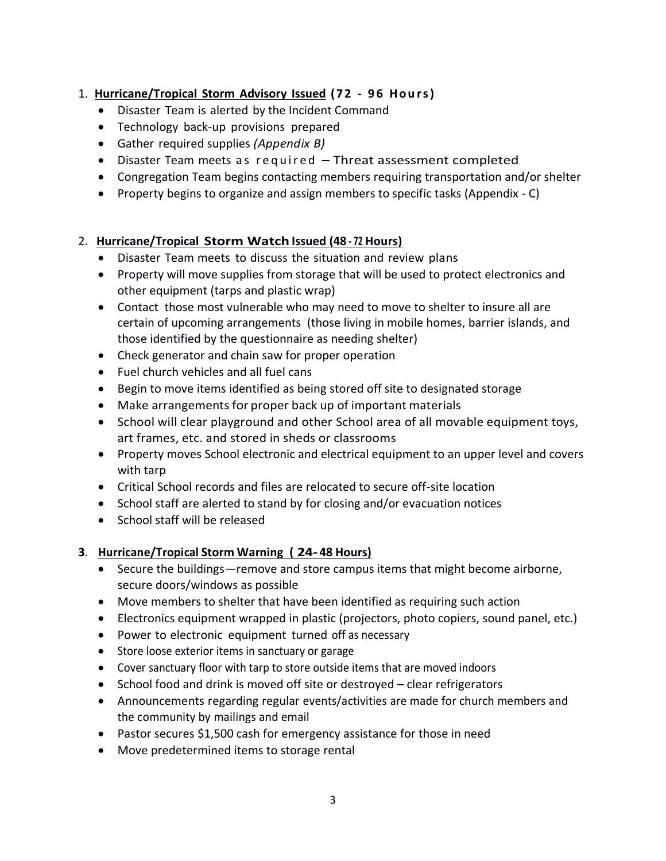## 1. **Hurricane/Tropical Storm Advisory Issued ( 7 2 - 9 6 H o u r s )**

- Disaster Team is alerted by the Incident Command
- Technology back-up provisions prepared
- Gather required supplies *(Appendix B)*
- Disaster Team meets as required Threat assessment completed
- Congregation Team begins contacting members requiring transportation and/or shelter
- Property begins to organize and assign members to specific tasks (Appendix C)

## 2. **Hurricane/Tropical Storm Watch Issued (48 - <sup>72</sup> Hours)**

- Disaster Team meets to discuss the situation and review plans
- Property will move supplies from storage that will be used to protect electronics and other equipment (tarps and plastic wrap)
- Contact those most vulnerable who may need to move to shelter to insure all are certain of upcoming arrangements (those living in mobile homes, barrier islands, and those identified by the questionnaire as needing shelter)
- Check generator and chain saw for proper operation
- Fuel church vehicles and all fuel cans
- Begin to move items identified as being stored off site to designated storage
- Make arrangements for proper back up of important materials
- School will clear playground and other School area of all movable equipment toys, art frames, etc. and stored in sheds or classrooms
- Property moves School electronic and electrical equipment to an upper level and covers with tarp
- Critical School records and files are relocated to secure off-site location
- School staff are alerted to stand by for closing and/or evacuation notices
- School staff will be released

## **3**. **Hurricane/Tropical Storm Warning ( 24-48 Hours)**

- Secure the buildings—remove and store campus items that might become airborne, secure doors/windows as possible
- Move members to shelter that have been identified as requiring such action
- Electronics equipment wrapped in plastic (projectors, photo copiers, sound panel, etc.)
- Power to electronic equipment turned off as necessary
- Store loose exterior items in sanctuary or garage
- Cover sanctuary floor with tarp to store outside items that are moved indoors
- School food and drink is moved off site or destroyed clear refrigerators
- Announcements regarding regular events/activities are made for church members and the community by mailings and email
- Pastor secures \$1,500 cash for emergency assistance for those in need
- Move predetermined items to storage rental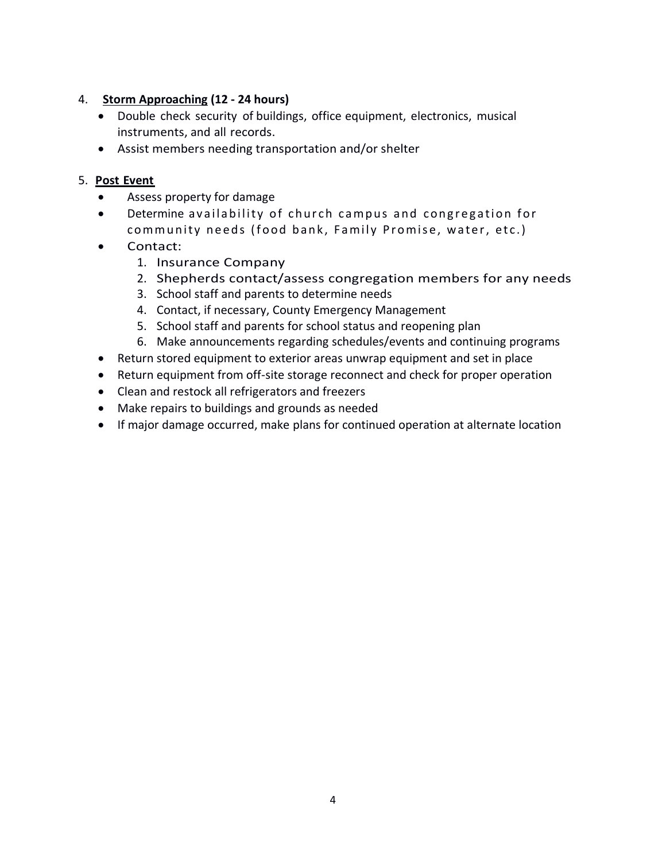## 4. **Storm Approaching (12 - 24 hours)**

- Double check security of buildings, office equipment, electronics, musical instruments, and all records.
- Assist members needing transportation and/or shelter

## 5. **Post Event**

- Assess property for damage
- Determine availability of church campus and congregation for community needs (food bank, Family Promise, water, etc.)
- Contact:
	- 1. Insurance Company
	- 2. Shepherds contact/assess congregation members for any needs
	- 3. School staff and parents to determine needs
	- 4. Contact, if necessary, County Emergency Management
	- 5. School staff and parents for school status and reopening plan
	- 6. Make announcements regarding schedules/events and continuing programs
- Return stored equipment to exterior areas unwrap equipment and set in place
- Return equipment from off-site storage reconnect and check for proper operation
- Clean and restock all refrigerators and freezers
- Make repairs to buildings and grounds as needed
- If major damage occurred, make plans for continued operation at alternate location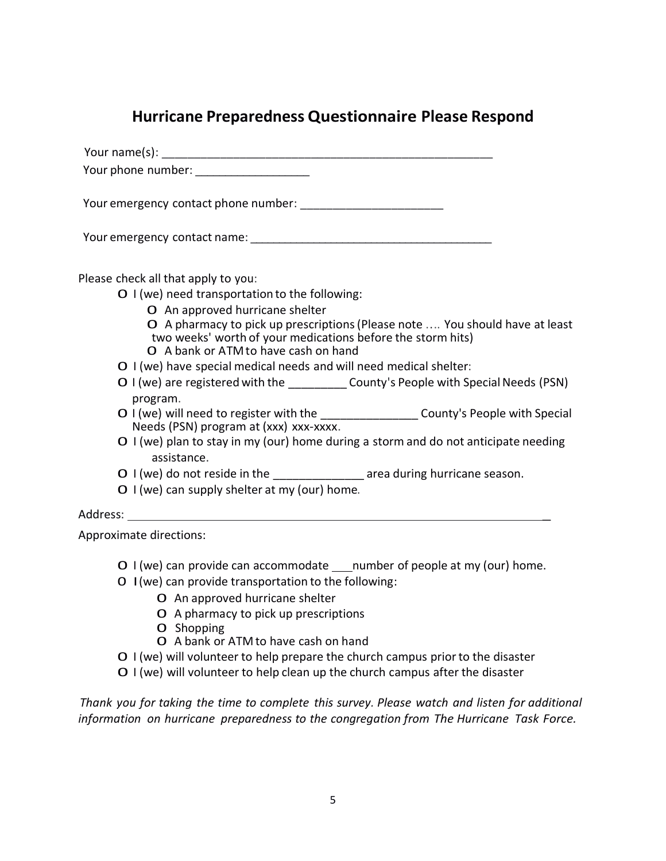## **Hurricane Preparedness Questionnaire Please Respond**

 Your name(s): \_\_\_\_\_\_\_\_\_\_\_\_\_\_\_\_\_\_\_\_\_\_\_\_\_\_\_\_\_\_\_\_\_\_\_\_\_\_\_\_\_\_\_\_\_\_\_\_\_\_\_ Your phone number: \_\_\_\_\_\_\_\_\_\_\_\_\_\_\_\_\_\_\_

Your emergency contact phone number:

Your emergency contact name:  $\Box$ 

Please check all that apply to you:

0 I (we) need transportation to the following:

- 0 An approved hurricane shelter
- 0 <sup>A</sup> pharmacy to pick up prescriptions(Please note .... You should have at least two weeks' worth of your medications before the storm hits)
- 0 <sup>A</sup> bank or ATMto have cash on hand
- 0 I (we) have special medical needs and will need medical shelter:
- O I (we) are registered with the  $\qquad \qquad$  County's People with Special Needs (PSN) program.
- O I (we) will need to register with the \_\_\_\_\_\_\_\_\_\_\_\_\_\_\_\_\_\_\_ County's People with Special Needs (PSN) program at (xxx) xxx-xxxx.
- 0 I (we) plan to stay in my (our) home during <sup>a</sup> storm and do not anticipate needing assistance.
- O I (we) do not reside in the area during hurricane season.
- $O \mid (we)$  can supply shelter at my (our) home.

### Address: \_

Approximate directions:

- $O \mid (we)$  can provide can accommodate  $\quad$ number of people at my (our) home.
- 0 I(we) can provide transportation to the following:
	- 0 An approved hurricane shelter
	- 0 <sup>A</sup> pharmacy to pick up prescriptions
	- 0 Shopping
	- 0 <sup>A</sup> bank or ATM to have cash on hand
- 0 <sup>I</sup> (we) will volunteer to help prepare the church campus priorto the disaster
- 0 I (we) will volunteer to help clean up the church campus after the disaster

*Thank you for taking the time to complete this survey. Please watch and listen for additional information on hurricane preparedness to the congregation from The Hurricane Task Force.*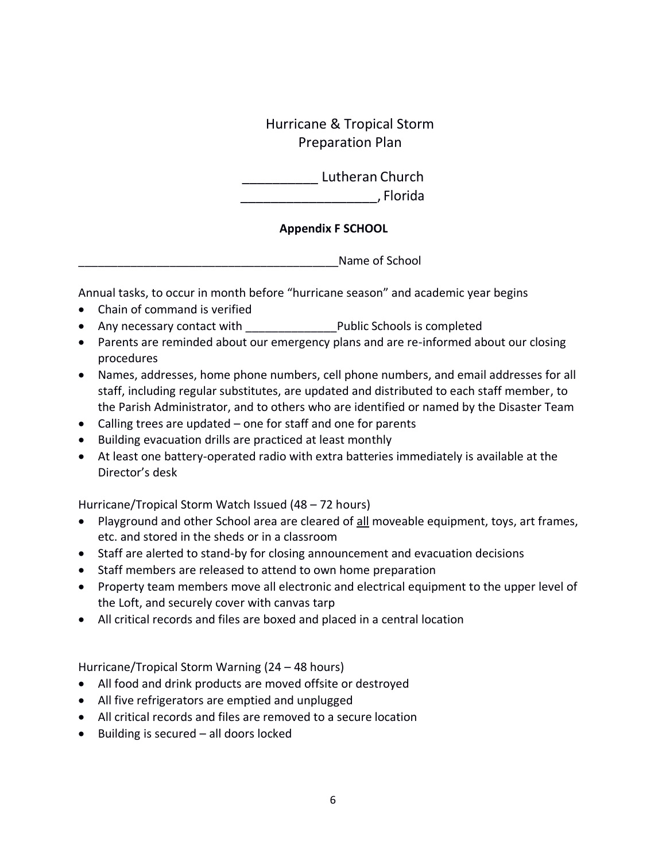Hurricane & Tropical Storm Preparation Plan

\_\_\_\_\_\_\_\_\_\_ Lutheran Church \_\_\_\_\_\_\_\_\_\_\_\_\_\_\_\_\_\_, Florida

## **Appendix F SCHOOL**

Name of School

Annual tasks, to occur in month before "hurricane season" and academic year begins

- Chain of command is verified
- Any necessary contact with \_\_\_\_\_\_\_\_\_\_\_\_\_\_\_\_\_\_\_ Public Schools is completed
- Parents are reminded about our emergency plans and are re-informed about our closing procedures
- Names, addresses, home phone numbers, cell phone numbers, and email addresses for all staff, including regular substitutes, are updated and distributed to each staff member, to the Parish Administrator, and to others who are identified or named by the Disaster Team
- Calling trees are updated one for staff and one for parents
- Building evacuation drills are practiced at least monthly
- At least one battery-operated radio with extra batteries immediately is available at the Director's desk

Hurricane/Tropical Storm Watch Issued (48 – 72 hours)

- Playground and other School area are cleared of all moveable equipment, toys, art frames, etc. and stored in the sheds or in a classroom
- Staff are alerted to stand-by for closing announcement and evacuation decisions
- Staff members are released to attend to own home preparation
- Property team members move all electronic and electrical equipment to the upper level of the Loft, and securely cover with canvas tarp
- All critical records and files are boxed and placed in a central location

Hurricane/Tropical Storm Warning (24 – 48 hours)

- All food and drink products are moved offsite or destroyed
- All five refrigerators are emptied and unplugged
- All critical records and files are removed to a secure location
- Building is secured all doors locked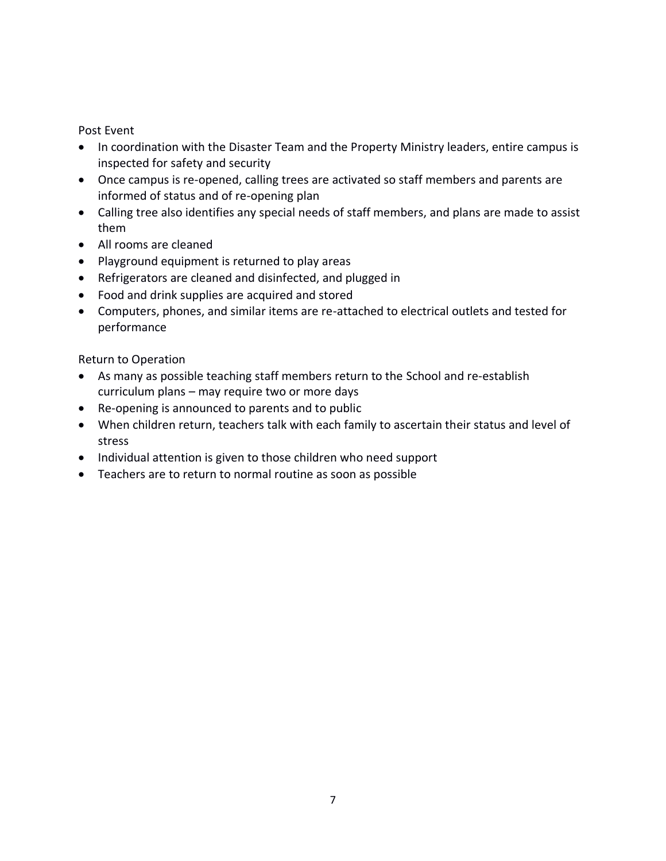Post Event

- In coordination with the Disaster Team and the Property Ministry leaders, entire campus is inspected for safety and security
- Once campus is re-opened, calling trees are activated so staff members and parents are informed of status and of re-opening plan
- Calling tree also identifies any special needs of staff members, and plans are made to assist them
- All rooms are cleaned
- Playground equipment is returned to play areas
- Refrigerators are cleaned and disinfected, and plugged in
- Food and drink supplies are acquired and stored
- Computers, phones, and similar items are re-attached to electrical outlets and tested for performance

Return to Operation

- As many as possible teaching staff members return to the School and re-establish curriculum plans – may require two or more days
- Re-opening is announced to parents and to public
- When children return, teachers talk with each family to ascertain their status and level of stress
- Individual attention is given to those children who need support
- Teachers are to return to normal routine as soon as possible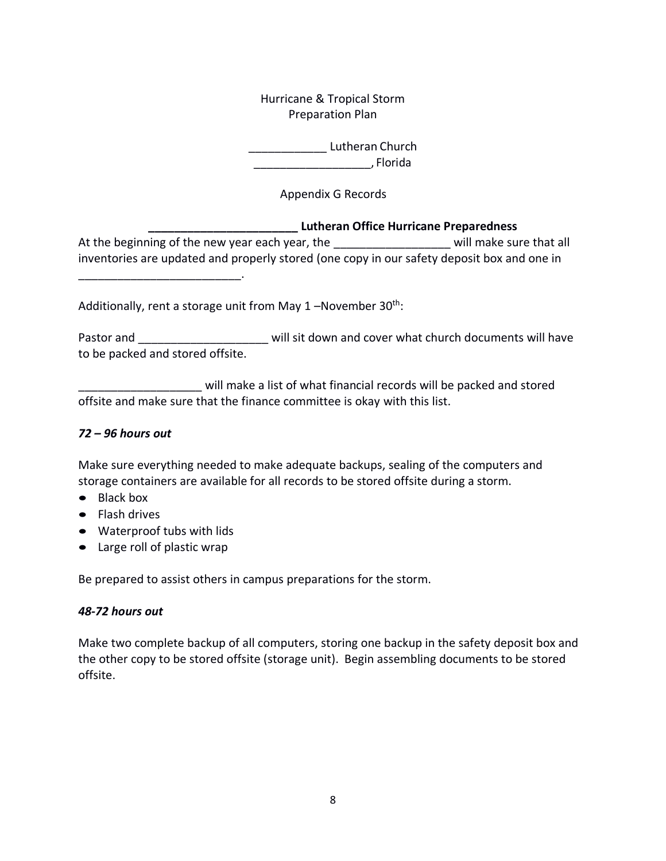Hurricane & Tropical Storm Preparation Plan

\_\_\_\_\_\_\_\_\_\_\_\_ Lutheran Church \_\_\_\_\_\_\_\_\_\_\_\_\_\_\_\_\_\_, Florida

Appendix G Records

### **\_\_\_\_\_\_\_\_\_\_\_\_\_\_\_\_\_\_\_\_\_\_\_ Lutheran Office Hurricane Preparedness**

At the beginning of the new year each year, the example and will make sure that all inventories are updated and properly stored (one copy in our safety deposit box and one in

Additionally, rent a storage unit from May  $1$  –November  $30<sup>th</sup>$ :

Pastor and \_\_\_\_\_\_\_\_\_\_\_\_\_\_\_\_\_\_\_\_\_\_\_\_\_\_ will sit down and cover what church documents will have to be packed and stored offsite.

will make a list of what financial records will be packed and stored offsite and make sure that the finance committee is okay with this list.

## *72 – 96 hours out*

Make sure everything needed to make adequate backups, sealing of the computers and storage containers are available for all records to be stored offsite during a storm.

- Black box
- Flash drives
- Waterproof tubs with lids

\_\_\_\_\_\_\_\_\_\_\_\_\_\_\_\_\_\_\_\_\_\_\_\_\_.

• Large roll of plastic wrap

Be prepared to assist others in campus preparations for the storm.

## *48-72 hours out*

Make two complete backup of all computers, storing one backup in the safety deposit box and the other copy to be stored offsite (storage unit). Begin assembling documents to be stored offsite.